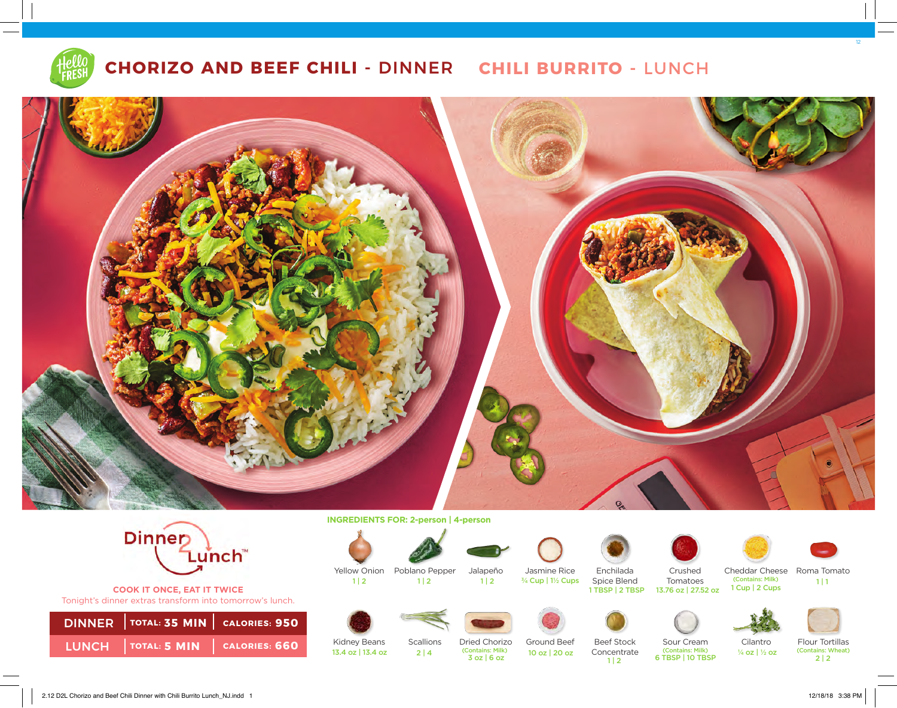

# **CHORIZO AND BEEF CHILI -** DINNER **CHILI BURRITO -** LUNCH





**COOK IT ONCE, EAT IT TWICE**  Tonight's dinner extras transform into tomorrow's lunch.

| DINNER   TOTAL: 35 MIN   CALORIES: 950   |  |
|------------------------------------------|--|
| LUNCH $ $ TOTAL: 5 MIN $ $ CALORIES: 660 |  |

**INGREDIENTS FOR: 2-person | 4-person** 



 $1 | 2$ 







Jasmine Rice ¾ Cup | 1½ Cups





Enchilada Spice Blend<br>1 TBSP | 2 TBSP



Cheddar Cheese Roma Tomato (Contains: Milk) 1 Cup | 2 Cups



12





Sour Cream Cilantro Flour Tortillas<br>
(Contains: Milk)  $\frac{1}{4}$  oz  $\frac{1}{4}$  (Contains: Wheat) ¼ oz | ½ oz

(Contains: Wheat)  $2 | 2$ 

Kidney Beans Scallions 13.4 oz | 13.4 oz | 2 | 4

Dried Chorizo 3 oz | 6 oz (Contains: Milk)

Ground Beef 10 oz | 20 oz



6 TBSP | 10 TBSP